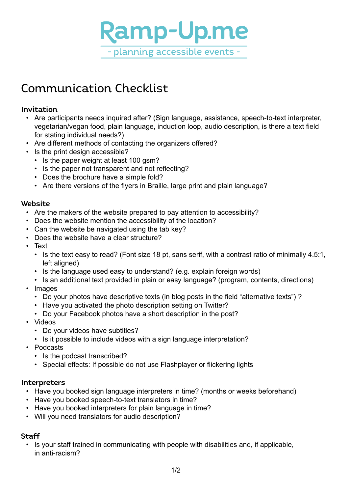

# Communication Checklist

### Invitation

- Are participants needs inquired after? (Sign language, assistance, speech-to-text interpreter, vegetarian/vegan food, plain language, induction loop, audio description, is there a text field for stating individual needs?)
- Are different methods of contacting the organizers offered?
- Is the print design accessible?
	- Is the paper weight at least 100 gsm?
	- Is the paper not transparent and not reflecting?
	- Does the brochure have a simple fold?
	- Are there versions of the flyers in Braille, large print and plain language?

### **Website**

- Are the makers of the website prepared to pay attention to accessibility?
- Does the website mention the accessibility of the location?
- Can the website be navigated using the tab key?
- Does the website have a clear structure?
- • Text
	- Is the text easy to read? (Font size 18 pt, sans serif, with a contrast ratio of minimally 4.5:1, left aligned)
	- Is the language used easy to understand? (e.g. explain foreign words)
	- Is an additional text provided in plain or easy language? (program, contents, directions)
- • Images
	- Do your photos have descriptive texts (in blog posts in the field "alternative texts")?
	- Have you activated the photo description setting on Twitter?
	- Do your Facebook photos have a short description in the post?
- • Videos
	- Do your videos have subtitles?
	- Is it possible to include videos with a sign language interpretation?
- • Podcasts
	- Is the podcast transcribed?
	- Special effects: If possible do not use Flashplayer or flickering lights

### Interpreters

- Have you booked sign language interpreters in time? (months or weeks beforehand)
- Have you booked speech-to-text translators in time?
- Have you booked interpreters for plain language in time?
- Will you need translators for audio description?

### **Staff**

• Is your staff trained in communicating with people with disabilities and, if applicable, in anti-racism?